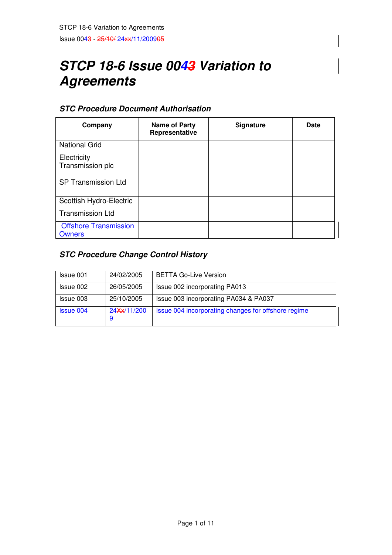# **STCP 18-6 Issue 0043 Variation to Agreements**

# **STC Procedure Document Authorisation**

| Company                                | Name of Party<br>Representative | <b>Signature</b> | <b>Date</b> |
|----------------------------------------|---------------------------------|------------------|-------------|
| <b>National Grid</b>                   |                                 |                  |             |
| Electricity<br>Transmission plc        |                                 |                  |             |
| <b>SP Transmission Ltd</b>             |                                 |                  |             |
| Scottish Hydro-Electric                |                                 |                  |             |
| <b>Transmission Ltd</b>                |                                 |                  |             |
| <b>Offshore Transmission</b><br>Owners |                                 |                  |             |

# **STC Procedure Change Control History**

| Issue 001        | 24/02/2005        | <b>BETTA Go-Live Version</b>                        |
|------------------|-------------------|-----------------------------------------------------|
| Issue 002        | 26/05/2005        | Issue 002 incorporating PA013                       |
| Issue 003        | 25/10/2005        | Issue 003 incorporating PA034 & PA037               |
| <b>Issue 004</b> | 24Xx/11/200<br>-9 | Issue 004 incorporating changes for offshore regime |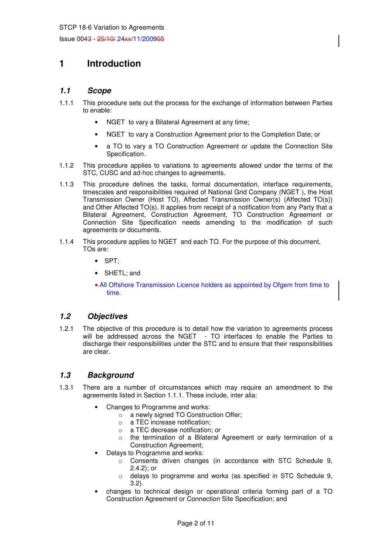# **1 Introduction**

#### **1.1 Scope**

- 1.1.1 This procedure sets out the process for the exchange of information between Parties to enable:
	- NGET to vary a Bilateral Agreement at any time;
	- NGET to vary a Construction Agreement prior to the Completion Date; or
	- a TO to vary a TO Construction Agreement or update the Connection Site Specification.
- 1.1.2 This procedure applies to variations to agreements allowed under the terms of the STC, CUSC and ad-hoc changes to agreements.
- 1.1.3 This procedure defines the tasks, formal documentation, interface requirements, timescales and responsibilities required of National Grid Company (NGET ), the Host Transmission Owner (Host TO), Affected Transmission Owner(s) (Affected TO(s)) and Other Affected TO(s). It applies from receipt of a notification from any Party that a Bilateral Agreement, Construction Agreement, TO Construction Agreement or Connection Site Specification needs amending to the modification of such agreements or documents.
- 1.1.4 This procedure applies to NGET and each TO. For the purpose of this document, TOs are:
	- SPT;
	- SHETL; and
	- All Offshore Transmission Licence holders as appointed by Ofgem from time to time.

#### **1.2 Objectives**

1.2.1 The objective of this procedure is to detail how the variation to agreements process will be addressed across the NGET - TO interfaces to enable the Parties to discharge their responsibilities under the STC and to ensure that their responsibilities are clear.

#### **1.3 Background**

- 1.3.1 There are a number of circumstances which may require an amendment to the agreements listed in Section 1.1.1. These include, inter alia:
	- Changes to Programme and works:
		- o a newly signed TO Construction Offer;
		- o a TEC increase notification;
		- o a TEC decrease notification; or
		- o the termination of a Bilateral Agreement or early termination of a Construction Agreement;
	- Delays to Programme and works:
		- o Consents driven changes (in accordance with STC Schedule 9, 2.4.2); or
		- o delays to programme and works (as specified in STC Schedule 9, 3.2).
	- changes to technical design or operational criteria forming part of a TO Construction Agreement or Connection Site Specification; and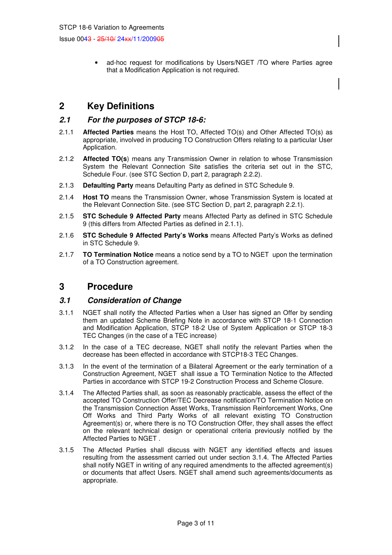• ad-hoc request for modifications by Users/NGET /TO where Parties agree that a Modification Application is not required.

# **2 Key Definitions**

#### **2.1 For the purposes of STCP 18-6:**

- 2.1.1 **Affected Parties** means the Host TO, Affected TO(s) and Other Affected TO(s) as appropriate, involved in producing TO Construction Offers relating to a particular User Application.
- 2.1.2 **Affected TO(s**) means any Transmission Owner in relation to whose Transmission System the Relevant Connection Site satisfies the criteria set out in the STC, Schedule Four. (see STC Section D, part 2, paragraph 2.2.2).
- 2.1.3 **Defaulting Party** means Defaulting Party as defined in STC Schedule 9.
- 2.1.4 **Host TO** means the Transmission Owner, whose Transmission System is located at the Relevant Connection Site. (see STC Section D, part 2, paragraph 2.2.1).
- 2.1.5 **STC Schedule 9 Affected Party** means Affected Party as defined in STC Schedule 9 (this differs from Affected Parties as defined in 2.1.1).
- 2.1.6 **STC Schedule 9 Affected Party's Works** means Affected Party's Works as defined in STC Schedule 9.
- 2.1.7 **TO Termination Notice** means a notice send by a TO to NGET upon the termination of a TO Construction agreement.

### **3 Procedure**

#### **3.1 Consideration of Change**

- 3.1.1 NGET shall notify the Affected Parties when a User has signed an Offer by sending them an updated Scheme Briefing Note in accordance with STCP 18-1 Connection and Modification Application, STCP 18-2 Use of System Application or STCP 18-3 TEC Changes (in the case of a TEC increase)
- 3.1.2 In the case of a TEC decrease, NGET shall notify the relevant Parties when the decrease has been effected in accordance with STCP18-3 TEC Changes.
- 3.1.3 In the event of the termination of a Bilateral Agreement or the early termination of a Construction Agreement, NGET shall issue a TO Termination Notice to the Affected Parties in accordance with STCP 19-2 Construction Process and Scheme Closure.
- 3.1.4 The Affected Parties shall, as soon as reasonably practicable, assess the effect of the accepted TO Construction Offer/TEC Decrease notification/TO Termination Notice on the Transmission Connection Asset Works, Transmission Reinforcement Works, One Off Works and Third Party Works of all relevant existing TO Construction Agreement(s) or, where there is no TO Construction Offer, they shall asses the effect on the relevant technical design or operational criteria previously notified by the Affected Parties to NGET .
- 3.1.5 The Affected Parties shall discuss with NGET any identified effects and issues resulting from the assessment carried out under section 3.1.4. The Affected Parties shall notify NGET in writing of any required amendments to the affected agreement(s) or documents that affect Users. NGET shall amend such agreements/documents as appropriate.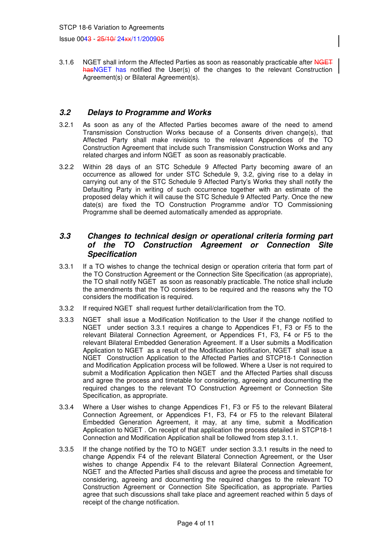3.1.6 NGET shall inform the Affected Parties as soon as reasonably practicable after NGET has NGET has notified the User(s) of the changes to the relevant Construction Agreement(s) or Bilateral Agreement(s).

#### **3.2 Delays to Programme and Works**

- 3.2.1 As soon as any of the Affected Parties becomes aware of the need to amend Transmission Construction Works because of a Consents driven change(s), that Affected Party shall make revisions to the relevant Appendices of the TO Construction Agreement that include such Transmission Construction Works and any related charges and inform NGET as soon as reasonably practicable.
- 3.2.2 Within 28 days of an STC Schedule 9 Affected Party becoming aware of an occurrence as allowed for under STC Schedule 9, 3.2, giving rise to a delay in carrying out any of the STC Schedule 9 Affected Party's Works they shall notify the Defaulting Party in writing of such occurrence together with an estimate of the proposed delay which it will cause the STC Schedule 9 Affected Party. Once the new date(s) are fixed the TO Construction Programme and/or TO Commissioning Programme shall be deemed automatically amended as appropriate.

#### **3.3 Changes to technical design or operational criteria forming part of the TO Construction Agreement or Connection Site Specification**

- 3.3.1 If a TO wishes to change the technical design or operation criteria that form part of the TO Construction Agreement or the Connection Site Specification (as appropriate), the TO shall notify NGET as soon as reasonably practicable. The notice shall include the amendments that the TO considers to be required and the reasons why the TO considers the modification is required.
- 3.3.2 If required NGET shall request further detail/clarification from the TO.
- 3.3.3 NGET shall issue a Modification Notification to the User if the change notified to NGET under section 3.3.1 requires a change to Appendices F1, F3 or F5 to the relevant Bilateral Connection Agreement, or Appendices F1, F3, F4 or F5 to the relevant Bilateral Embedded Generation Agreement. If a User submits a Modification Application to NGET as a result of the Modification Notification, NGET shall issue a NGET Construction Application to the Affected Parties and STCP18-1 Connection and Modification Application process will be followed. Where a User is not required to submit a Modification Application then NGET and the Affected Parties shall discuss and agree the process and timetable for considering, agreeing and documenting the required changes to the relevant TO Construction Agreement or Connection Site Specification, as appropriate.
- 3.3.4 Where a User wishes to change Appendices F1, F3 or F5 to the relevant Bilateral Connection Agreement, or Appendices F1, F3, F4 or F5 to the relevant Bilateral Embedded Generation Agreement, it may, at any time, submit a Modification Application to NGET . On receipt of that application the process detailed in STCP18-1 Connection and Modification Application shall be followed from step 3.1.1.
- 3.3.5 If the change notified by the TO to NGET under section 3.3.1 results in the need to change Appendix F4 of the relevant Bilateral Connection Agreement, or the User wishes to change Appendix F4 to the relevant Bilateral Connection Agreement, NGET and the Affected Parties shall discuss and agree the process and timetable for considering, agreeing and documenting the required changes to the relevant TO Construction Agreement or Connection Site Specification, as appropriate. Parties agree that such discussions shall take place and agreement reached within 5 days of receipt of the change notification.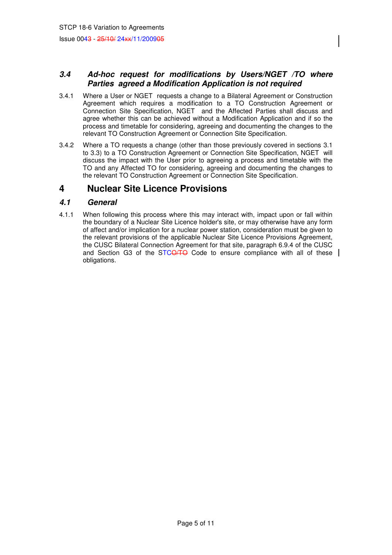#### **3.4 Ad-hoc request for modifications by Users/NGET /TO where Parties agreed a Modification Application is not required**

- 3.4.1 Where a User or NGET requests a change to a Bilateral Agreement or Construction Agreement which requires a modification to a TO Construction Agreement or Connection Site Specification, NGET and the Affected Parties shall discuss and agree whether this can be achieved without a Modification Application and if so the process and timetable for considering, agreeing and documenting the changes to the relevant TO Construction Agreement or Connection Site Specification.
- 3.4.2 Where a TO requests a change (other than those previously covered in sections 3.1 to 3.3) to a TO Construction Agreement or Connection Site Specification, NGET will discuss the impact with the User prior to agreeing a process and timetable with the TO and any Affected TO for considering, agreeing and documenting the changes to the relevant TO Construction Agreement or Connection Site Specification.

# **4 Nuclear Site Licence Provisions**

#### **4.1 General**

4.1.1 When following this process where this may interact with, impact upon or fall within the boundary of a Nuclear Site Licence holder's site, or may otherwise have any form of affect and/or implication for a nuclear power station, consideration must be given to the relevant provisions of the applicable Nuclear Site Licence Provisions Agreement, the CUSC Bilateral Connection Agreement for that site, paragraph 6.9.4 of the CUSC and Section G3 of the STCO/TO Code to ensure compliance with all of these  $\vert$ obligations.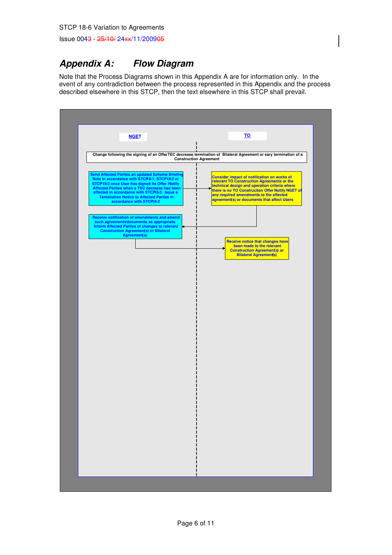# **Appendix A: Flow Diagram**

Note that the Process Diagrams shown in this Appendix A are for information only. In the event of any contradiction between the process represented in this Appendix and the process described elsewhere in this STCP, then the text elsewhere in this STCP shall prevail.

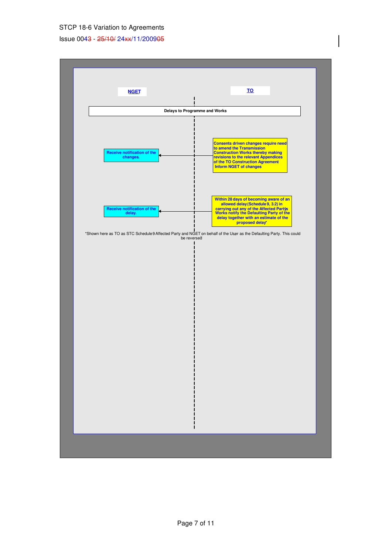#### STCP 18-6 Variation to Agreements

Issue 0043 - 25/10/ 24xx/11/200905

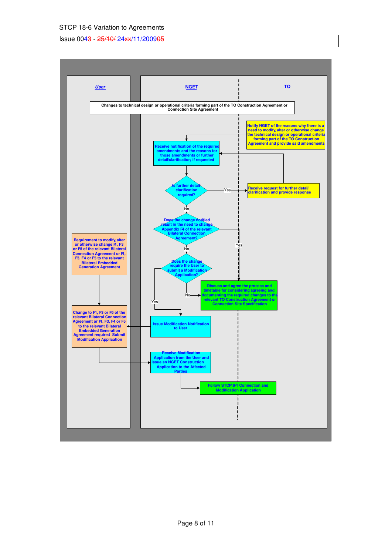#### STCP 18-6 Variation to Agreements

#### Issue 0043 - 25/10/ 24xx/11/200905

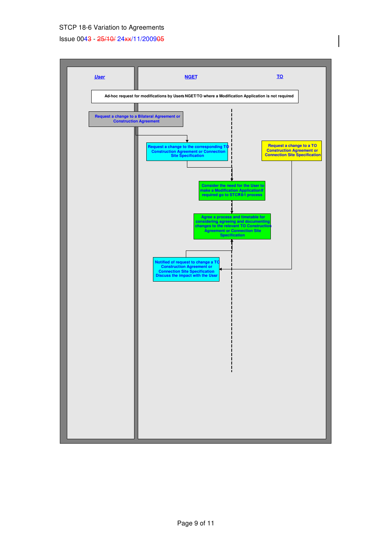#### STCP 18-6 Variation to Agreements

#### Issue 0043 - 25/10/ 24xx/11/200905

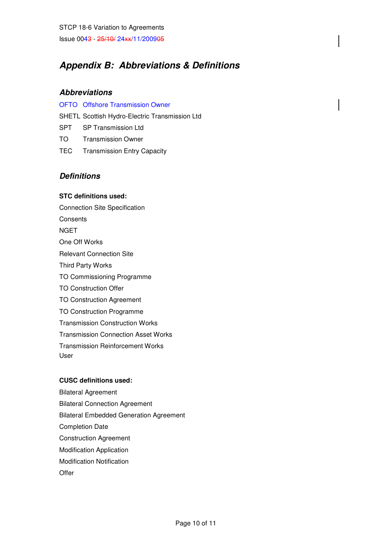# **Appendix B: Abbreviations & Definitions**

#### **Abbreviations**

OFTO Offshore Transmission Owner

SHETL Scottish Hydro-Electric Transmission Ltd

- SPT SP Transmission Ltd
- TO Transmission Owner
- TEC Transmission Entry Capacity

### **Definitions**

#### **STC definitions used:**

Connection Site Specification **Consents** NGET One Off Works Relevant Connection Site Third Party Works TO Commissioning Programme TO Construction Offer TO Construction Agreement TO Construction Programme Transmission Construction Works Transmission Connection Asset Works Transmission Reinforcement Works User

#### **CUSC definitions used:**

Bilateral Agreement Bilateral Connection Agreement Bilateral Embedded Generation Agreement Completion Date Construction Agreement Modification Application Modification Notification **Offer**